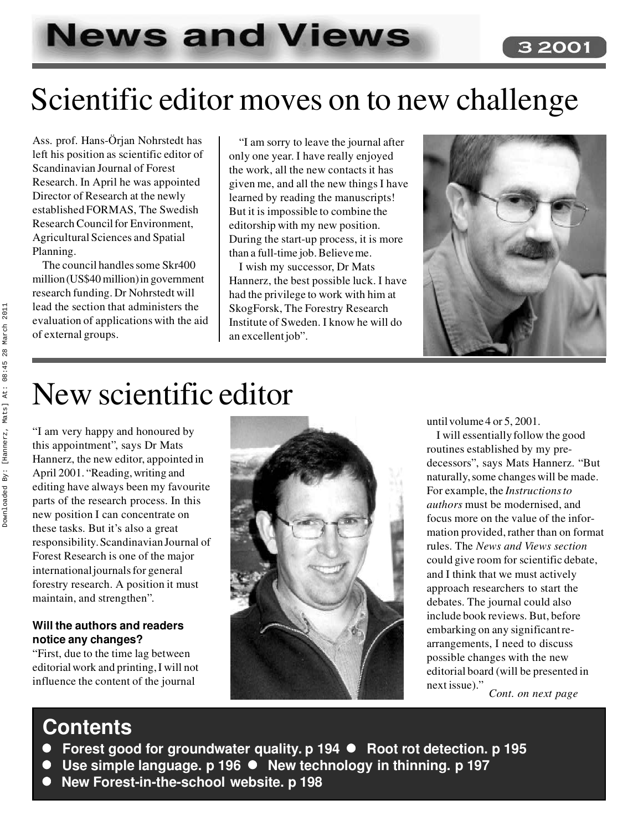# **News and Views**

## Scientific editor moves on to new challenge

Ass. prof. Hans-Örjan Nohrstedt has left his position as scientific editor of Scandinavian Journal of Forest Research. In April he was appointed Director of Research at the newly established FORMAS, The Swedish Research Council for Environment, Agricultural Sciences and Spatial Planning.

The council handles some Skr400 million (US\$40 million) in government research funding. Dr Nohrstedt will lead the section that administers the evaluation of applications with the aid of external groups.

"I am sorry to leave the journal after only one year. I have really enjoyed the work, all the new contacts it has given me, and all the new things I have learned by reading the manuscripts! But it is impossible to combine the editorship with my new position. During the start-up process, it is more than a full-time job. Believe me.

I wish my successor, Dr Mats Hannerz, the best possible luck. I have had the privilege to work with him at SkogForsk, The Forestry Research Institute of Sweden. I know he will do an excellent job".



3 200

## New scientific editor

"I am very happy and honoured by this appointment", says Dr Mats Hannerz, the new editor, appointed in April 2001. "Reading, writing and editing have always been my favourite parts of the research process. In this new position I can concentrate on these tasks. But it's also a great responsibility. Scandinavian Journal of Forest Research is one of the major international journals for general forestry research. A position it must maintain, and strengthen".

#### **Will the authors and readers notice any changes?**

"First, due to the time lag between editorial work and printing, I will not influence the content of the journal



until volume 4 or 5, 2001.

I will essentially follow the good routines established by my predecessors", says Mats Hannerz. "But naturally, some changes will be made. For example, the *Instructions to authors* must be modernised, and focus more on the value of the information provided, rather than on format rules. The *News and Views section* could give room for scientific debate, and I think that we must actively approach researchers to start the debates. The journal could also include book reviews. But, before embarking on any significant rearrangements, I need to discuss possible changes with the new editorial board (will be presented in next issue)." *Cont. on next page*

### **Contents**

- Forest good for groundwater quality. p 194 Root rot detection. p 195
- Use simple language. p 196 New technology in thinning. p 197
- New Forest-in-the-school website. p 198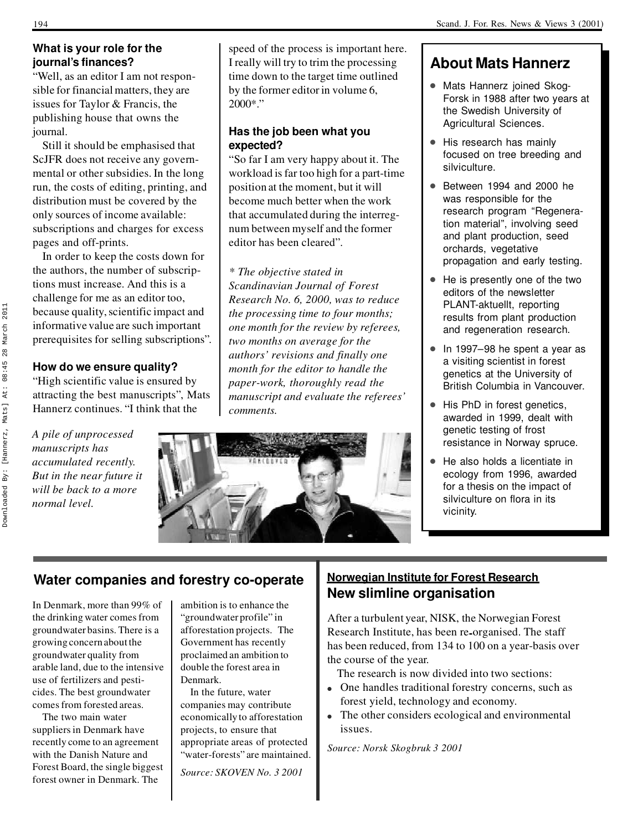#### **What is your role for the journal's finances?**

"Well, as an editor I am not responsible for financial matters, they are issues for Taylor & Francis, the publishing house that owns the journal.

Still it should be emphasised that ScJFR does not receive any governmental or other subsidies. In the long run, the costs of editing, printing, and distribution must be covered by the only sources of income available: subscriptions and charges for excess pages and off-prints.

In order to keep the costs down for the authors, the number of subscriptions must increase. And this is a challenge for me as an editor too, because quality, scientific impact and informative value are such important prerequisites for selling subscriptions".

#### **How do we ensure quality?**

"High scientific value is ensured by attracting the best manuscripts", Mats Hannerz continues. "I think that the

*A pile of unprocessed manuscripts has accumulated recently. But in the near future it will be back to a more normal level.*

speed of the process is important here. I really will try to trim the processing time down to the target time outlined by the former editor in volume 6, 2000\*."

#### **Has the job been what you expected?**

"So far I am very happy about it. The workload is far too high for a part-time position at the moment, but it will become much better when the work that accumulated during the interregnum between myself and the former editor has been cleared".

#### *\* The objective stated in Scandinavian Journal of Forest Research No. 6, 2000, was to reduce the processing time to four months; one month for the review by referees, two months on average for the authors' revisions and finally one month for the editor to handle the paper-work, thoroughly read the manuscript and evaluate the referees' comments.*



#### **About Mats Hannerz**

- Mats Hannerz joined Skog-Forsk in 1988 after two years at the Swedish University of Agricultural Sciences.
- His research has mainly focused on tree breeding and silviculture.
- Between 1994 and 2000 he was responsible for the research program "Regeneration material", involving seed and plant production, seed orchards, vegetative propagation and early testing.
- He is presently one of the two editors of the newsletter PLANT-aktuellt, reporting results from plant production and regeneration research.
- $\bullet$  In 1997–98 he spent a year as a visiting scientist in forest genetics at the University of British Columbia in Vancouver.
- His PhD in forest genetics, awarded in 1999, dealt with genetic testing of frost resistance in Norway spruce.
- He also holds a licentiate in ecology from 1996, awarded for a thesis on the impact of silviculture on flora in its vicinity.

#### **Water companies and forestry co-operate**

In Denmark, more than 99% of the drinking water comes from groundwater basins. There is a growing concern about the groundwater quality from arable land, due to the intensive use of fertilizers and pesticides. The best groundwater comes from forested areas.

The two main water suppliers in Denmark have recently come to an agreement with the Danish Nature and Forest Board, the single biggest forest owner in Denmark. The

ambition is to enhance the "groundwater profile" in afforestation projects. The Government has recently proclaimed an ambition to double the forest area in Denmark.

In the future, water companies may contribute economically to afforestation projects, to ensure that appropriate areas of protected "water-forests" are maintained.

*Source: SKOVEN No. 3 2001*

#### **Norwegian Institute for Forest Research New slimline organisation**

After a turbulent year, NISK, the Norwegian Forest Research Institute, has been re**-**organised. The staff has been reduced, from 134 to 100 on a year-basis over the course of the year.

The research is now divided into two sections:

- One handles traditional forestry concerns, such as forest yield, technology and economy.
- The other considers ecological and environmental issues.

*Source: Norsk Skogbruk 3 2001*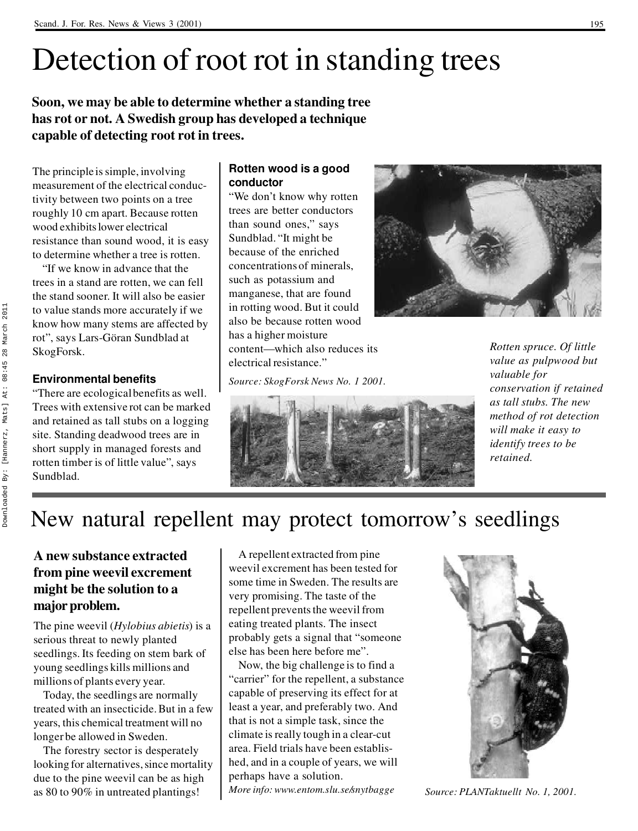## Detection of root rot in standing trees

**Soon, we may be able to determine whether a standing tree has rot or not. A Swedish group has developed a technique capable of detecting root rot in trees.**

The principle is simple, involving measurement of the electrical conductivity between two points on a tree roughly 10 cm apart. Because rotten wood exhibits lower electrical resistance than sound wood, it is easy to determine whether a tree is rotten.

"If we know in advance that the trees in a stand are rotten, we can fell the stand sooner. It will also be easier to value stands more accurately if we know how many stems are affected by rot", says Lars-Göran Sundblad at SkogForsk.

#### **Environmental benefits**

"There are ecological benefits as well. Trees with extensive rot can be marked and retained as tall stubs on a logging site. Standing deadwood trees are in short supply in managed forests and rotten timber is of little value", says Sundblad.

#### **Rotten wood is a good conductor**

"We don't know why rotten trees are better conductors than sound ones," says Sundblad. "It might be because of the enriched concentrations of minerals, such as potassium and manganese, that are found in rotting wood. But it could also be because rotten wood has a higher moisture content—which also reduces its electrical resistance."

*Source: SkogForsk News No. 1 2001.*



*Rotten spruce. Of little value as pulpwood but valuable for conservation if retained as tall stubs. The new method of rot detection will make it easy to identify trees to be retained.*



New natural repellent may protect tomorrow's seedlings

#### **A new substance extracted from pine weevil excrement might be the solution to a major problem.**

The pine weevil (*Hylobius abietis*) is a serious threat to newly planted seedlings. Its feeding on stem bark of young seedlings kills millions and millions of plants every year.

Today, the seedlings are normally treated with an insecticide. But in a few years, this chemical treatment will no longer be allowed in Sweden.

The forestry sector is desperately looking for alternatives, since mortality due to the pine weevil can be as high as 80 to 90% in untreated plantings!

A repellent extracted from pine weevil excrement has been tested for some time in Sweden. The results are very promising. The taste of the repellent prevents the weevil from eating treated plants. The insect probably gets a signal that "someone else has been here before me".

Now, the big challenge is to find a "carrier" for the repellent, a substance capable of preserving its effect for at least a year, and preferably two. And that is not a simple task, since the climate is really tough in a clear-cut area. Field trials have been established, and in a couple of years, we will perhaps have a solution. *More info: www.entom.slu.se/snytbagge*



*Source: PLANTaktuellt No. 1, 2001.*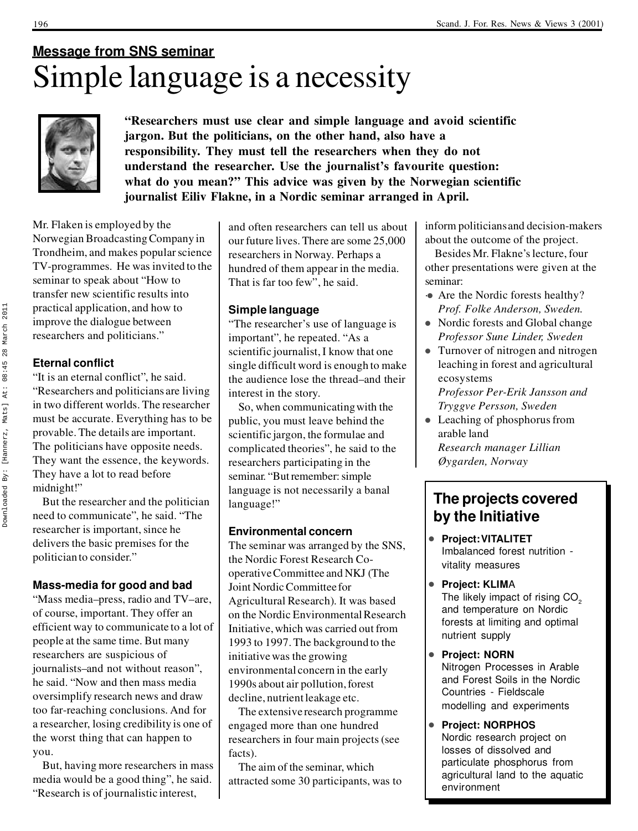### **Message from SNS seminar** Simple language is a necessity



**"Researchers must use clear and simple language and avoid scientific jargon. But the politicians, on the other hand, also have a responsibility. They must tell the researchers when they do not understand the researcher. Use the journalist's favourite question: what do you mean?" This advice was given by the Norwegian scientific journalist Eiliv Flakne, in a Nordic seminar arranged in April.**

Mr. Flaken is employed by the Norwegian Broadcasting Company in Trondheim, and makes popular science TV-programmes. He was invited to the seminar to speak about "How to transfer new scientific results into practical application, and how to improve the dialogue between researchers and politicians."

#### **Eternal conflict**

"It is an eternal conflict", he said. "Researchers and politicians are living in two different worlds. The researcher must be accurate. Everything has to be provable. The details are important. The politicians have opposite needs. They want the essence, the keywords. They have a lot to read before midnight!"

But the researcher and the politician need to communicate", he said. "The researcher is important, since he delivers the basic premises for the politician to consider."

#### **Mass-media for good and bad**

"Mass media–press, radio and TV–are, of course, important. They offer an efficient way to communicate to a lot of people at the same time. But many researchers are suspicious of journalists–and not without reason", he said. "Now and then mass media oversimplify research news and draw too far-reaching conclusions. And for a researcher, losing credibility is one of the worst thing that can happen to you.

But, having more researchers in mass media would be a good thing", he said. "Research is of journalistic interest,

and often researchers can tell us about our future lives. There are some 25,000 researchers in Norway. Perhaps a hundred of them appear in the media. That is far too few", he said.

#### **Simple language**

"The researcher's use of language is important", he repeated. "As a scientific journalist, I know that one single difficult word is enough to make the audience lose the thread–and their interest in the story.

So, when communicating with the public, you must leave behind the scientific jargon, the formulae and complicated theories", he said to the researchers participating in the seminar. "But remember: simple language is not necessarily a banal language!"

#### **Environmental concern**

The seminar was arranged by the SNS, the Nordic Forest Research Cooperative Committee and NKJ (The Joint Nordic Committee for Agricultural Research). It was based on the Nordic Environmental Research Initiative, which was carried out from 1993 to 1997. The background to the initiative was the growing environmental concern in the early 1990s about air pollution, forest decline, nutrient leakage etc.

The extensive research programme engaged more than one hundred researchers in four main projects (see facts).

The aim of the seminar, which attracted some 30 participants, was to inform politicians and decision-makers about the outcome of the project.

Besides Mr. Flakne's lecture, four other presentations were given at the seminar:

- Are the Nordic forests healthy? *Prof. Folke Anderson, Sweden.*
- Nordic forests and Global change *Professor Sune Linder, Sweden*
- Turnover of nitrogen and nitrogen leaching in forest and agricultural ecosystems *Professor Per-Erik Jansson and Tryggve Persson, Sweden*
- $\bullet$  Leaching of phosphorus from arable land *Research manager Lillian Øygarden, Norway*

#### **The projects covered by the Initiative**

- <sup>l</sup> **Project: VITALITET** Imbalanced forest nutrition  vitality measures
- **Project: KLIMA** The likely impact of rising  $CO<sub>2</sub>$  and temperature on Nordic forests at limiting and optimal nutrient supply
- **Project: NORN** Nitrogen Processes in Arable and Forest Soils in the Nordic Countries - Fieldscale modelling and experiments
- <sup>l</sup> **Project: NORPHOS** Nordic research project on losses of dissolved and particulate phosphorus from agricultural land to the aquatic environment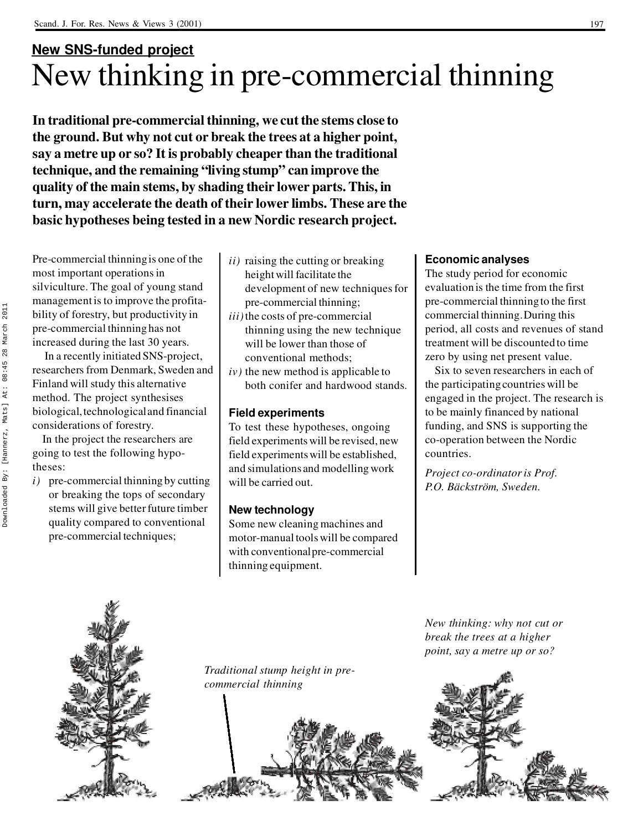### **New SNS-funded project** New thinking in pre-commercial thinning

**In traditional pre-commercial thinning, we cut the stems close to the ground. But why not cut or break the trees at a higher point, say a metre up or so? It is probably cheaper than the traditional technique, and the remaining "living stump" can improve the quality of the main stems, by shading their lower parts. This, in turn, may accelerate the death of their lower limbs. These are the basic hypotheses being tested in a new Nordic research project.**

Pre-commercial thinning is one of the most important operations in silviculture. The goal of young stand management is to improve the profitability of forestry, but productivity in pre-commercial thinning has not increased during the last 30 years.

In a recently initiated SNS-project, researchers from Denmark, Sweden and Finland will study this alternative method. The project synthesises biological, technological and financial considerations of forestry.

In the project the researchers are going to test the following hypotheses:

*i)* pre-commercial thinning by cutting or breaking the tops of secondary stems will give better future timber quality compared to conventional pre-commercial techniques;

- *ii)* raising the cutting or breaking height will facilitate the development of new techniques for pre-commercial thinning;
- *iii)*the costs of pre-commercial thinning using the new technique will be lower than those of conventional methods;
- *iv)* the new method is applicable to both conifer and hardwood stands.

#### **Field experiments**

To test these hypotheses, ongoing field experiments will be revised, new field experiments will be established, and simulations and modelling work will be carried out.

#### **New technology**

Some new cleaning machines and motor-manual tools will be compared with conventional pre-commercial thinning equipment.

#### **Economic analyses**

The study period for economic evaluation is the time from the first pre-commercial thinning to the first commercial thinning. During this period, all costs and revenues of stand treatment will be discounted to time zero by using net present value.

Six to seven researchers in each of the participating countries will be engaged in the project. The research is to be mainly financed by national funding, and SNS is supporting the co-operation between the Nordic countries.

*Project co-ordinator is Prof. P.O. Bäckström, Sweden.*

*New thinking: why not cut or break the trees at a higher point, say a metre up or so?*





*Traditional stump height in precommercial thinning*